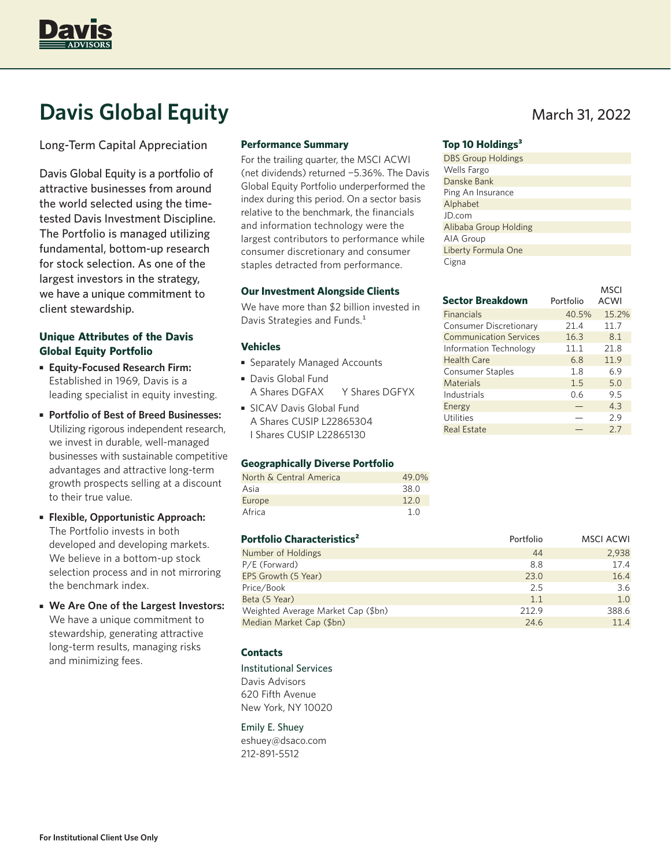

# **Davis Global Equity**

Long-Term Capital Appreciation

Davis Global Equity is a portfolio of attractive businesses from around the world selected using the timetested Davis Investment Discipline. The Portfolio is managed utilizing fundamental, bottom-up research for stock selection. As one of the largest investors in the strategy, we have a unique commitment to client stewardship.

## **Unique Attributes of the Davis Global Equity Portfolio**

- **Equity-Focused Research Firm:** Established in 1969, Davis is a leading specialist in equity investing.
- **Portfolio of Best of Breed Businesses:** Utilizing rigorous independent research, we invest in durable, well-managed businesses with sustainable competitive advantages and attractive long-term growth prospects selling at a discount to their true value.
- **Flexible, Opportunistic Approach:**  The Portfolio invests in both developed and developing markets. We believe in a bottom-up stock selection process and in not mirroring the benchmark index.
- **We Are One of the Largest Investors:**  We have a unique commitment to stewardship, generating attractive long-term results, managing risks and minimizing fees.

#### **Performance Summary**

For the trailing quarter, the MSCI ACWI (net dividends) returned −5.36%. The Davis Global Equity Portfolio underperformed the index during this period. On a sector basis relative to the benchmark, the financials and information technology were the largest contributors to performance while consumer discretionary and consumer staples detracted from performance.

#### **Our Investment Alongside Clients**

We have more than \$2 billion invested in Davis Strategies and Funds.<sup>1</sup>

#### **Vehicles**

- Separately Managed Accounts
- Davis Global Fund A Shares DGFAX Y Shares DGFYX
- SICAV Davis Global Fund A Shares CUSIP L22865304 I Shares CUSIP L22865130

#### **Geographically Diverse Portfolio**

| North & Central America | 49.0% |
|-------------------------|-------|
| Asia                    | 38.0  |
| Europe                  | 12.0  |
| Africa                  | 1 N   |

| Portfolio Characteristics <sup>2</sup> | Portfolio | <b>MSCI ACWI</b> |
|----------------------------------------|-----------|------------------|
| Number of Holdings                     | 44        | 2,938            |
| P/E (Forward)                          | 8.8       | 17.4             |
| EPS Growth (5 Year)                    | 23.0      | 16.4             |
| Price/Book                             | 2.5       | 3.6              |
| Beta (5 Year)                          | 1.1       | 1.0              |
| Weighted Average Market Cap (\$bn)     | 212.9     | 388.6            |
| Median Market Cap (\$bn)               | 24.6      | 11.4             |

#### **Contacts**

Institutional Services

Davis Advisors 620 Fifth Avenue New York, NY 10020

#### Emily E. Shuey

eshuey@dsaco.com 212-891-5512

# March 31, 2022

 $M_{\odot}$ 

### **Top 10 Holdings³**

| <b>DBS Group Holdings</b> |
|---------------------------|
| <b>Wells Fargo</b>        |
| Danske Bank               |
| Ping An Insurance         |
| Alphabet                  |
| JD.com                    |
| Alibaba Group Holding     |
| AIA Group                 |
| Liberty Formula One       |
| Cigna                     |

| <b>Sector Breakdown</b>       | Portfolio | MSCI<br><b>ACWI</b> |
|-------------------------------|-----------|---------------------|
| <b>Financials</b>             | 40.5%     | 15.2%               |
| Consumer Discretionary        | 21.4      | 11.7                |
| <b>Communication Services</b> | 16.3      | 8.1                 |
| <b>Information Technology</b> | 11.1      | 21.8                |
| <b>Health Care</b>            | 6.8       | 11.9                |
| <b>Consumer Staples</b>       | 1.8       | 6.9                 |
| Materials                     | 1.5       | 5.0                 |
| Industrials                   | 0.6       | 9.5                 |
| Energy                        |           | 4.3                 |
| <b>Utilities</b>              |           | 2.9                 |
| <b>Real Estate</b>            |           | 2.7                 |
|                               |           |                     |